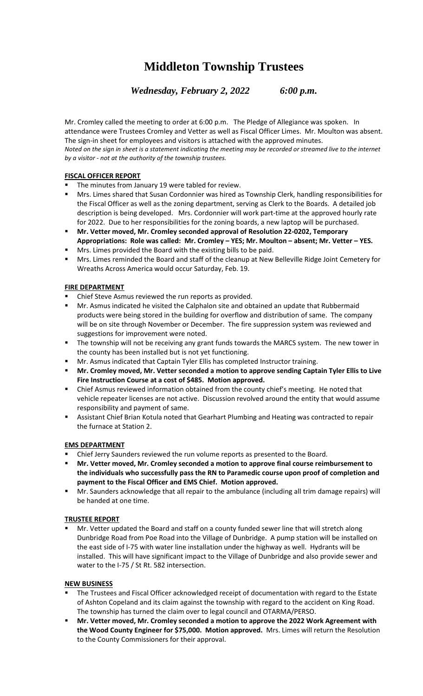# **Middleton Township Trustees**

*Wednesday, February 2, 2022 6:00 p.m.*

Mr. Cromley called the meeting to order at 6:00 p.m. The Pledge of Allegiance was spoken. In attendance were Trustees Cromley and Vetter as well as Fiscal Officer Limes. Mr. Moulton was absent. The sign-in sheet for employees and visitors is attached with the approved minutes. *Noted on the sign in sheet is a statement indicating the meeting may be recorded or streamed live to the internet by a visitor - not at the authority of the township trustees.*

## **FISCAL OFFICER REPORT**

- The minutes from January 19 were tabled for review.
- Mrs. Limes shared that Susan Cordonnier was hired as Township Clerk, handling responsibilities for the Fiscal Officer as well as the zoning department, serving as Clerk to the Boards. A detailed job description is being developed. Mrs. Cordonnier will work part-time at the approved hourly rate for 2022. Due to her responsibilities for the zoning boards, a new laptop will be purchased.
- **Mr. Vetter moved, Mr. Cromley seconded approval of Resolution 22-0202, Temporary Appropriations: Role was called: Mr. Cromley – YES; Mr. Moulton – absent; Mr. Vetter – YES.**
- Mrs. Limes provided the Board with the existing bills to be paid.
- Mrs. Limes reminded the Board and staff of the cleanup at New Belleville Ridge Joint Cemetery for Wreaths Across America would occur Saturday, Feb. 19.

### **FIRE DEPARTMENT**

- Chief Steve Asmus reviewed the run reports as provided.
- Mr. Asmus indicated he visited the Calphalon site and obtained an update that Rubbermaid products were being stored in the building for overflow and distribution of same. The company will be on site through November or December. The fire suppression system was reviewed and suggestions for improvement were noted.
- **■** The township will not be receiving any grant funds towards the MARCS system. The new tower in the county has been installed but is not yet functioning.
- Mr. Asmus indicated that Captain Tyler Ellis has completed Instructor training.
- **Mr. Cromley moved, Mr. Vetter seconded a motion to approve sending Captain Tyler Ellis to Live Fire Instruction Course at a cost of \$485. Motion approved.**
- Chief Asmus reviewed information obtained from the county chief's meeting. He noted that vehicle repeater licenses are not active. Discussion revolved around the entity that would assume responsibility and payment of same.
- Assistant Chief Brian Kotula noted that Gearhart Plumbing and Heating was contracted to repair the furnace at Station 2.

## **EMS DEPARTMENT**

- Chief Jerry Saunders reviewed the run volume reports as presented to the Board.
- **Mr. Vetter moved, Mr. Cromley seconded a motion to approve final course reimbursement to the individuals who successfully pass the RN to Paramedic course upon proof of completion and payment to the Fiscal Officer and EMS Chief. Motion approved.**
- Mr. Saunders acknowledge that all repair to the ambulance (including all trim damage repairs) will be handed at one time.

#### **TRUSTEE REPORT**

Mr. Vetter updated the Board and staff on a county funded sewer line that will stretch along Dunbridge Road from Poe Road into the Village of Dunbridge. A pump station will be installed on the east side of I-75 with water line installation under the highway as well. Hydrants will be installed. This will have significant impact to the Village of Dunbridge and also provide sewer and water to the I-75 / St Rt. 582 intersection.

#### **NEW BUSINESS**

- The Trustees and Fiscal Officer acknowledged receipt of documentation with regard to the Estate of Ashton Copeland and its claim against the township with regard to the accident on King Road. The township has turned the claim over to legal council and OTARMA/PERSO.
- Mr. Vetter moved, Mr. Cromley seconded a motion to approve the 2022 Work Agreement with **the Wood County Engineer for \$75,000. Motion approved.** Mrs. Limes will return the Resolution to the County Commissioners for their approval.